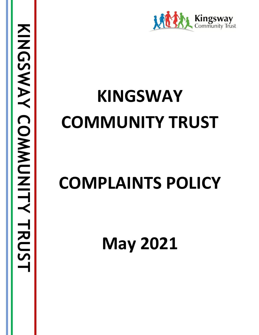

# **KINGSWAY COMMUNITY TRUST**

## **COMPLAINTS POLICY**

**May 2021**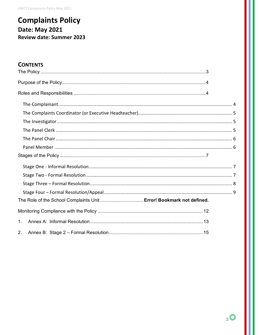**KWCT Complaints Policy May 2021** 

## **Complaints Policy Date: May 2021 Review date: Summer 2023**

## **CONTENTS**

| The Role of the School Complaints Unit  Error! Bookmark not defined. |  |
|----------------------------------------------------------------------|--|
|                                                                      |  |
| 1.                                                                   |  |
| 2.                                                                   |  |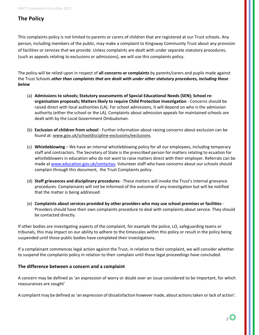KWCT Complaints Policy May 2021

## <span id="page-2-0"></span>**The Policy**

This complaints policy is not limited to parents or carers of children that are registered at our Trust schools. Any person, including members of the public, may make a complaint to Kingsway Community Trust about any provision of facilities or services that we provide. Unless complaints are dealt with under separate statutory procedures, (such as appeals relating to exclusions or admissions), we will use this complaints policy.

The policy will be relied upon in respect of **all concerns or complaints** by parents/carers and pupils made against the Trust Schools *other than complaints that are dealt with under other statutory procedures, including those below*

- (a) **Admissions to schools; Statutory assessments of Special Educational Needs (SEN); School reorganisation proposals; Matters likely to require Child Protection Investigation** - Concerns should be raised direct with local authorities (LA). For school admissions, it will depend on who is the admission authority (either the school or the LA). Complaints about admission appeals for maintained schools are dealt with by the Local Government Ombudsman.
- (b) **Exclusion of children from school** Further information about raising concerns about exclusion can be found at: [www.gov.uk/schooldiscipline-exclusions/exclusions.](http://www.gov.uk/schooldiscipline-exclusions/exclusions)
- (c) **Whistleblowing** We have an internal whistleblowing policy for all our employees, including temporary staff and contractors. The Secretary of State is the prescribed person for matters relating to ecuation for whistleblowers in education who do not want to raise matters direct with their employer. Referrals can be made at [www.education.gov.uk/contactus](http://www.education.gov.uk/contactus)**.** Volunteer staff who have concerns about our schools should complain through this document, the Trust Complaints policy.
- (d) **Staff grievances and disciplinary procedures** These matters will invoke the Trust's internal grievance procedures. Complainants will not be informed of the outcome of any investigation but will be notified that the matter is being addressed
- (e) **Complaints about services provided by other providers who may use school premises or facilities** Providers should have their own complaints procedure to deal with complaints about service. They should be contacted directly.

If other bodies are investigating aspects of the complaint, for example the police, LO, safeguarding teams or tribunals, this may impact on our ability to adhere to the timescales within this policy or result in the policy being suspended until those public bodies have completed their investigations.

If a complainant commences legal action against the Trust, in relation to their complaint, we will consider whether to suspend the complaints policy in relation to their complain until those legal proceedings have concluded.

## **The difference between a concern and a complaint**

A concern may be defined as 'an expression of worry or doubt over an issue considered to be important, for which reassurances are sought'

A complaint may be defined as 'an expression of dissatisfaction however made, about actions taken or lack of action'.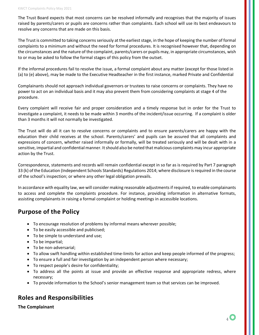The Trust Board expects that most concerns can be resolved informally and recognises that the majority of issues raised by parents/carers or pupils are concerns rather than complaints. Each school will use its best endeavours to resolve any concerns that are made on this basis.

The Trust is committed to taking concerns seriously at the earliest stage, in the hope of keeping the number of formal complaints to a minimum and without the need for formal procedures. It is recognised however that, depending on the circumstances and the nature of the complaint, parents/carers or pupils may, in appropriate circumstances, wish to or may be asked to follow the formal stages of this policy from the outset.

If the informal procedures fail to resolve the issue, a formal complaint about any matter (except for those listed in (a) to (e) above), may be made to the Executive Headteacher in the first instance, marked Private and Confidential

Complainants should not approach individual governors or trustees to raise concerns or complaints. They have no power to act on an individual basis and it may also prevent them from considering complaints at stage 4 of the procedure.

Every complaint will receive fair and proper consideration and a timely response but in order for the Trust to investigate a complaint, it needs to be made within 3 months of the incident/issue occurring. If a complaint is older than 3 months it will not normally be investigated.

The Trust will do all it can to resolve concerns or complaints and to ensure parents/carers are happy with the education their child receives at the school. Parents/carers' and pupils can be assured that all complaints and expressions of concern, whether raised informally or formally, will be treated seriously and will be dealt with in a sensitive, impartial and confidential manner. It should also be noted that malicious complaints may incur appropriate action by the Trust.

Correspondence, statements and records will remain confidential except in so far as is required by Part 7 paragraph 33 (k) ofthe Education (Independent Schools Standards) Regulations 2014; where disclosure is required in the course of the school's inspection; or where any other legal obligation prevails.

In accordance with equality law, we will consider making reasonable adjustments if required, to enable complainants to access and complete the complaints procedure. For instance, providing information in alternative formats, assisting complainants in raising a formal complaint or holding meetings in accessible locations.

## <span id="page-3-0"></span>**Purpose of the Policy**

- To encourage resolution of problems by informal means wherever possible;
- To be easily accessible and publicised;
- To be simple to understand and use;
- To be impartial;
- To be non-adversarial;
- To allow swift handling within established time-limits for action and keep people informed of the progress;
- To ensure a full and fair investigation by an independent person where necessary;
- To respect people's desire for confidentiality;
- To address all the points at issue and provide an effective response and appropriate redress, where necessary;
- To provide information to the School's senior management team so that services can be improved.

## <span id="page-3-1"></span>**Roles and Responsibilities**

<span id="page-3-2"></span>**The Complainant**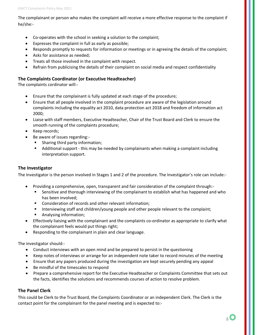The complainant or person who makes the complaint will receive a more effective response to the complaint if he/she:-

- Co-operates with the school in seeking a solution to the complaint;
- Expresses the complaint in full as early as possible;
- Responds promptly to requests for information or meetings or in agreeing the details of the complaint;
- Asks for assistance as needed;
- Treats all those involved in the complaint with respect.
- Refrain from publicising the details of their complaint on social media and respect confidentiality

### <span id="page-4-0"></span>**The Complaints Coordinator (or Executive Headteacher)**

The complaints cordinator will:-

- Ensure that the complainant is fully updated at each stage of the procedure;
- Ensure that all people involved in the complaint procedure are aware of the legislation around complaints including the equality act 2010, data protection act 2018 and freedom of information act 2000;
- Liaise with staff members, Executive Headteacher, Chair of the Trust Board and Clerk to ensure the smooth running of the complaints procedure;
- Keep records;
- Be aware of issues regarding:-
	- **Sharing third party information;**
	- Additional support this may be needed by complainants when making a complaint including interpretation support.

#### <span id="page-4-1"></span>**The Investigator**

The Investigator is the person involved in Stages 1 and 2 of the procedure. The Investigator's role can include:-

- Providing a comprehensive, open, transparent and fair consideration of the complaint through:-
	- Sensitive and thorough interviewing of the complainant to establish what has happened and who has been involved;
	- **Consideration of records and other relevant information;**
	- **Interviewing staff and children/young people and other people relevant to the complaint;**
	- **Analysing information;**
- Effectively liaising with the complainant and the complaints co-ordinator as appropriate to clarify what the complainant feels would put things right;
- Responding to the complainant in plain and clear language.

The investigator should:-

- Conduct interviews with an open mind and be prepared to persist in the questioning
- Keep notes of interviews or arrange for an independent note taker to record minutes of the meeting
- Ensure that any papers produced during the investigation are kept securely pending any appeal
- Be mindful of the timescales to respond
- Prepare a comprehensive report for the Executive Headteacher or Complaints Committee that sets out the facts, identifies the solutions and recommends courses of action to resolve problem.

### <span id="page-4-2"></span>**The Panel Clerk**

This could be Clerk to the Trust Board, the Complaints Coordinator or an independent Clerk. The Clerk is the contact point for the complainant for the panel meeting and is expected to:-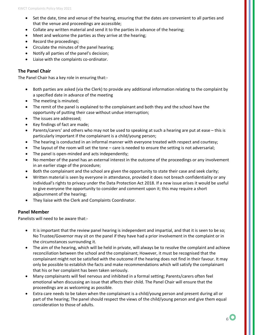- Set the date, time and venue of the hearing, ensuring that the dates are convenient to all parties and that the venue and proceedings are accessible;
- Collate any written material and send it to the parties in advance of the hearing;
- Meet and welcome the parties as they arrive at the hearing;
- Record the proceedings;
- Circulate the minutes of the panel hearing;
- Notify all parties of the panel's decision;
- Liaise with the complaints co-ordinator.

#### <span id="page-5-0"></span>**The Panel Chair**

The Panel Chair has a key role in ensuring that:-

- Both parties are asked (via the Clerk) to provide any additional information relating to the complaint by a specified date in advance of the meeting
- The meeting is minuted;
- The remit of the panel is explained to the complainant and both they and the school have the opportunity of putting their case without undue interruption;
- The issues are addressed;
- Key findings of fact are made;
- Parents/carers' and others who may not be used to speaking at such a hearing are put at ease this is particularly important if the complainant is a child/young person;
- The hearing is conducted in an informal manner with everyone treated with respect and courtesy;
- The layout of the room will set the tone care is needed to ensure the setting is not adversarial;
- The panel is open-minded and acts independently;
- No member of the panel has an external interest in the outcome of the proceedings or any involvement in an earlier stage of the procedure;
- Both the complainant and the school are given the opportunity to state their case and seek clarity;
- Written material is seen by everyone in attendance, provided it does not breach confidentiality or any individual's rights to privacy under the Data Protection Act 2018. If a new issue arises it would be useful to give everyone the opportunity to consider and comment upon it; this may require a short adjournment of the hearing;
- They liaise with the Clerk and Complaints Coordinator.

#### <span id="page-5-1"></span>**Panel Member**

Panelists will need to be aware that:-

- It is important that the review panel hearing is independent and impartial, and that it is seen to be so; No Trustee/Governor may sit on the panel if they have had a prior involvement in the complaint or in the circumstances surrounding it.
- The aim of the hearing, which will be held in private, will always be to resolve the complaint and achieve reconciliation between the school and the complainant; However, it must be recognised that the complainant might not be satisfied with the outcome if the hearing does not find in their favour. It may only be possible to establish the facts and make recommendations which will satisfy the complainant that his or her complaint has been taken seriously.
- Many complainants will feel nervous and inhibited in a formal setting; Parents/carers often feel emotional when discussing an issue that affects their child. The Panel Chair will ensure that the proceedings are as welcoming as possible.
- Extra care needs to be taken when the complainant is a child/young person and present during all or part of the hearing; The panel should respect the views of the child/young person and give them equal consideration to those of adults.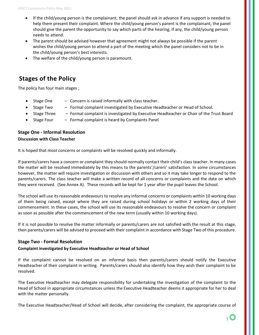- If the child/young person is the complainant, the panel should ask in advance if any support is needed to help them present their complaint. Where the child/young person's parent is the complainant, the panel should give the parent the opportunity to say which parts of the hearing, if any, the child/young person needs to attend.
- The parent should be advised however that agreement might not always be possible if the parent wishes the child/young person to attend a part of the meeting which the panel considers not to be in the child/young person's best interests.
- The welfare of the child/young person is paramount.

## <span id="page-6-0"></span>**Stages of the Policy**

The policy has four main stages ;

- Stage One  $-$  Concern is raised informally with class teacher.
- Stage Two Formal complaint investigated by Executive Headteacher or Head of School.
- Stage Three Formal complaint is investigated by Executive Headteacher or Chair of the Trust Board
- Stage Four Formal complaint is heard by Complaints Panel

## <span id="page-6-1"></span>**Stage One - Informal Resolution Discussion with Class Teacher**

It is hoped that most concerns or complaints will be resolved quickly and informally.

If parents/carers have a concern or complaint they should normally contact their child's class teacher. In many cases the matter will be resolved immediately by this means to the parents'/carers' satisfaction. In some circumstances however, the matter will require investigation or discussion with others and so it may take longer to respond to the parents/carers. The class teacher will make a written record of all concerns or complaints and the date on which they were received. (See Annex A). These records will be kept for 1 year after the pupil leaves the School.

The school will use its reasonable endeavours to resolve any informal concerns or complaints within 10 working days of them being raised, except where they are raised during school holidays or within 2 working days of their commencement. In these cases, the school will use its reasonable endeavours to resolve the concern or complaint as soon as possible after the commencement of the new term (usually within 10 working days).

If it is not possible to resolve the matter informally or parents/carers are not satisfied with the result at this stage, then parents/carers will be advised to proceed with their complaint in accordance with Stage Two of this procedure.

#### <span id="page-6-2"></span>**Stage Two - Formal Resolution**

#### **Complaint investigated by Executive Headteacher or Head of School**

If the complaint cannot be resolved on an informal basis then parents/carers should notify the Executive Headteacher of their complaint in writing. Parents/carers should also identify how they wish their complaint to be resolved.

The Executive Headteacher may delegate responsibility for undertaking the investigation of the complaint to the Head of School in appropriate circumstances unless the Executive Headteacher deems it appropriate for her to deal with the matter personally.

The Executive Headteacher/Head of School will decide, after considering the complaint, the appropriate course of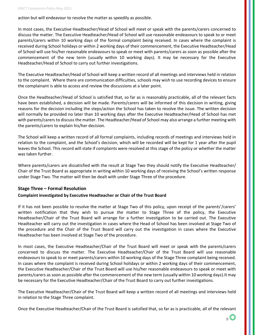action but will endeavour to resolve the matter as speedily as possible.

In most cases, the Executive Headteacher/Head of School will meet or speak with the parents/carers concerned to discuss the matter. The Executive Headteacher/Head of School will use reasonable endeavours to speak to or meet parents/carers within 10 working days of the formal complaint being received. In cases where the complaint is received during School holidays or within 2 working days of their commencement, the Executive Headteacher/Head of School will use his/her reasonable endeavours to speak or meet with parents/carers as soon as possible after the commencement of the new term (usually within 10 working days). It may be necessary for the Executive Headteacher/Head of School to carry out further investigations.

The Executive Headteacher/Head of School will keep a written record of all meetings and interviews held in relation to the complaint. Where there are communication difficulties, schools may wish to use recording devices to ensure the complainant is able to access and review the discussions at a later point.

Once the Headteacher/Head of School is satisfied that, so far as is reasonably practicable, all of the relevant facts have been established, a decision will be made. Parents/carers will be informed of this decision in writing, giving reasons for the decision including the steps/action the School has taken to resolve the issue. The written decision will normally be provided no later than 10 working days after the Executive Headteacher/Head of School has met with parents/carers to discuss the matter. The Headteacher/Head of School may also arrange a further meeting with the parents/carers to explain his/her decision.

The School will keep a written record of all formal complaints, including records of meetings and interviews held in relation to the complaint, and the School's decision, which will be recorded will be kept for 1 year after the pupil leaves the School. This record will state if complaints were resolved at this stage of the policy or whether the matter was taken further.

Where parents/carers are dissatisfied with the result at Stage Two they should notify the Executive Headteacher/ Chair of the Trust Board as appropriate in writing within 10 working days of receiving the School's written response under Stage Two. The matter will then be dealt with under Stage Three of the procedure.

#### <span id="page-7-0"></span>**Stage Three – Formal Resolution**

#### **Complaint investigated by Executive Headteacher or Chair of the Trust Board**

If it has not been possible to resolve the matter at Stage Two of this policy, upon receipt of the parents'/carers' written notification that they wish to pursue the matter to Stage Three of the policy, the Executive Headteacher/Chair of the Trust Board will arrange for a further investigation to be carried out. The Executive Headteacher will carry out the investigation in cases where the Head of School has been involved at Stage Two of the procedure and the Chair of the Trust Board will carry out the investigation in cases where the Executive Headteacher has been involved at Stage Two of the procedure.

In most cases, the Executive Headteacher/Chair of the Trust Board will meet or speak with the parents/carers concerned to discuss the matter. The Executive Headteacher/Chair of the Trust Board will use reasonable endeavours to speak to or meet parents/carers within 10 working days of the Stage Three complaint being received. In cases where the complaint is received during School holidays or within 2 working days of their commencement, the Executive Headteacher/Chair of the Trust Board will use his/her reasonable endeavours to speak or meet with parents/carers as soon as possible after the commencement of the new term (usually within 10 working days).It may be necessary for the Executive Headteacher/Chair of the Trust Board to carry out further investigations.

The Executive Headteacher/Chair of the Trust Board will keep a written record of all meetings and interviews held in relation to the Stage Three complaint.

Once the Executive Headteacher/Chair of the Trust Board is satisfied that, so far as is practicable, all of the relevant

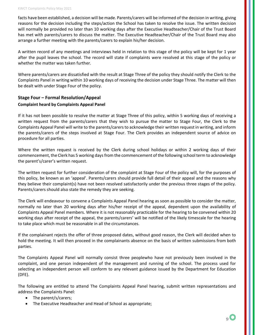facts have been established, a decision will be made. Parents/carers will be informed of the decision in writing, giving reasons for the decision including the steps/action the School has taken to resolve the issue. The written decision will normally be provided no later than 10 working days after the Executive Headteacher/Chair of the Trust Board has met with parents/carers to discuss the matter. The Executive Headteacher/Chair of the Trust Board may also arrange a further meeting with the parents/carers to explain his/her decision.

A written record of any meetings and interviews held in relation to this stage of the policy will be kept for 1 year after the pupil leaves the school. The record will state if complaints were resolved at this stage of the policy or whether the matter was taken further.

Where parents/carers are dissatisfied with the result at Stage Three of the policy they should notify the Clerk to the Complaints Panel in writing within 10 working days of receiving the decision under Stage Three. The matter will then be dealt with under Stage Four of the policy.

## <span id="page-8-0"></span>**Stage Four – Formal Resolution/Appeal Complaint heard by Complaints Appeal Panel**

If it has not been possible to resolve the matter at Stage Three of this policy, within 5 working days of receiving a written request from the parents/carers that they wish to pursue the matter to Stage Four, the Clerk to the Complaints Appeal Panel will write to the parents/carers to acknowledge their written request in writing, and inform the parents/carers of the steps involved at Stage Four. The Clerk provides an independent source of advice on procedure for all parties.

Where the written request is received by the Clerk during school holidays or within 2 working days of their commencement, the Clerk has 5 working days from the commencement of the following school term to acknowledge the parent's/carer's written request.

The written request for further consideration of the complaint at Stage Four of the policy will, for the purposes of this policy, be known as an 'appeal'. Parents/carers should provide full detail of their appeal and the reasons why they believe their complaint(s) have not been resolved satisfactorily under the previous three stages of the policy. Parents/carers should also state the remedy they are seeking.

The Clerk will endeavour to convene a Complaints Appeal Panel hearing as soon as possible to consider the matter, normally no later than 20 working days after his/her receipt of the appeal, dependent upon the availability of Complaints Appeal Panel members. Where it is not reasonably practicable for the hearing to be convened within 20 working days after receipt of the appeal, the parents/carers' will be notified of the likely timescale for the hearing to take place which must be reasonable in all the circumstances.

If the complainant rejects the offer of three proposed dates, without good reason, the Clerk will decided when to hold the meeting. It will then proceed in the complainants absence on the basis of written submissions from both parties.

The Complaints Appeal Panel will normally consist three peoplewho have not previously been involved in the complaint, and one person independent of the management and running of the school. The process used for selecting an independent person will conform to any relevant guidance issued by the Department for Education (DFE).

The following are entitled to attend The Complaints Appeal Panel hearing, submit written representations and address the Complaints Panel:

- The parent/s/carers;
- The Executive Headteacher and Head of School as appropriate;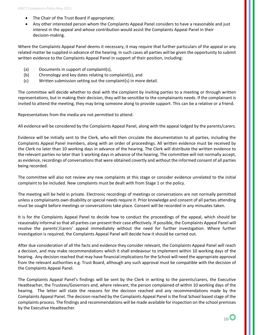- The Chair of the Trust Board if appropriate;
- Any other interested person whom the Complaints Appeal Panel considers to have a reasonable and just interest in the appeal and whose contribution would assist the Complaints Appeal Panel in their decision-making.

Where the Complaints Appeal Panel deems it necessary, it may require that further particulars of the appeal or any related matter be supplied in advance of the hearing. In such cases all parties will be given the opportunity to submit written evidence to the Complaints Appeal Panel in support of their position, including:

- (a) Documents in support of complaint(s),
- (b) Chronology and key dates relating to complaint(s), and
- (c) Written submission setting out the complaint(s) in more detail.

The committee will decide whether to deal with the complaint by inviting parties to a meeting or through written representations, but in making their decision, they will be sensitibe to the complainants needs. If the complainant is invited to attend the meeting, they may bring someone along to provide support. This can be a relative or a friend.

Representatives from the media are not permitted to attend.

All evidence will be considered by the Complaints Appeal Panel, along with the appeal lodged by the parents/carers.

Evidence will be initially sent to the Clerk, who will then circulate the documentation to all parties, including the Complaints Appeal Panel members, along with an order of proceedings. All written evidence must be received by the Clerk no later than 10 working days in advance of the hearing. The Clerk will distribute the written evidence to the relevant parties no later than 5 working days in advance of the hearing. The committee will not normally accept, as evidence, recordings of conversations that were obtained covertly and without the informed consent of all parties being recorded.

The committee will also not review any new complaints at this stage or consider evidence unrelated to the initial complaint to be included. New complaints must be dealt with from Stage 1 or the policy.

The meeting will be held in private. Electronic recordings of meetings or conversations are not normally permitted unless a complainants own disability or special needs require it. Prior knowledge and consent of all parties attending must be sought before meetings or conversations take place. Consent will be recorded in any minuates taken.

It is for the Complaints Appeal Panel to decide how to conduct the proceedings of the appeal, which should be reasonably informal so that all parties can present their case effectively. If possible, the Complaints Appeal Panel will resolve the parents'/carers' appeal immediately without the need for further investigation. Where further investigation is required, the Complaints Appeal Panel will decide how it should be carried out.

After due consideration of all the facts and evidence they consider relevant, the Complaints Appeal Panel will reach a decision, and may make recommendations which it shall endeavour to implement within 10 working days of the hearing. Any decision reached that may have financial implications for the School will need the appropriate approval from the relevant authorities e.g. Trust Board, although any such approval must be compatible with the decision of the Complaints Appeal Panel.

The Complaints Appeal Panel's findings will be sent by the Clerk in writing to the parents/carers, the Executive Headteacher, the Trustees/Governors and, where relevant, the person complained of within 10 working days of the hearing. The letter will state the reasons for the decision reached and any recommendations made by the Complaints Appeal Panel. The decision reached by the Complaints Appeal Panel is the final School based stage of the complaints process. The findings and recommendations will be made available for inspection on the school premises by the Executive Headteacher.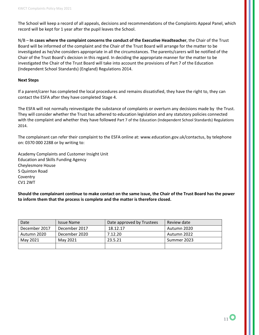The School will keep a record of all appeals, decisions and recommendations of the Complaints Appeal Panel, which record will be kept for 1 year after the pupil leaves the School.

N/B – **In cases where the complaint concerns the conduct of the Executive Headteacher**, the Chair of the Trust Board will be informed of the complaint and the Chair of the Trust Board will arrange for the matter to be investigated as he/she considers appropriate in all the circumstances. The parents/carers will be notified of the Chair of the Trust Board's decision in this regard. In deciding the appropriate manner for the matter to be investigated the Chair of the Trust Board will take into account the provisions of Part 7 of the Education (Independent School Standards) (England) Regulations 2014.

#### **Next Steps**

If a parent/carer has completed the local procedures and remains dissatisfied, they have the right to, they can contact the ESFA after they have completed Stage 4.

The ESFA will not normally reinvestigate the substance of complaints or overturn any decisions made by the Trust. They will consider whether the Trust has adhered to education legislation and any statutory policies connected with the complaint and whether they have followed Part 7 [of the Education \(Independent School Standards\) Regulations](http://www.legislation.gov.uk/uksi/2010/1997/schedule/1/made)  [2014.](http://www.legislation.gov.uk/uksi/2010/1997/schedule/1/made)

The complainant can refer their complaint to the ESFA online at: [www.education.gov.uk/contactus,](http://www.education.gov.uk/contactus) by telephone on: 0370 000 2288 or by writing to:

Academy Complaints and Customer Insight Unit Education and Skills Funding Agency Cheylesmore House 5 Quinton Road **Coventry** CV1 2WT

**Should the complainant continue to make contact on the same issue, the Chair of the Trust Board has the power to inform them that the process is complete and the matter is therefore closed.**

| Date          | <b>Issue Name</b> | Date approved by Trustees | Review date |
|---------------|-------------------|---------------------------|-------------|
| December 2017 | December 2017     | 18.12.17                  | Autumn 2020 |
| Autumn 2020   | December 2020     | 7.12.20                   | Autumn 2022 |
| May 2021      | May 2021          | 23.5.21                   | Summer 2023 |
|               |                   |                           |             |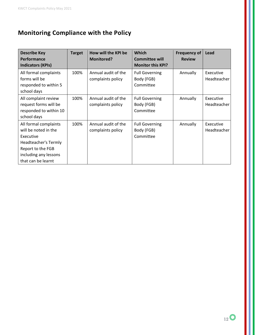## <span id="page-11-0"></span>**Monitoring Compliance with the Policy**

| <b>Describe Key</b><br>Performance                                                                                                                     | <b>Target</b> | How will the KPI be<br><b>Monitored?</b> | <b>Which</b><br><b>Committee will</b>            | Frequency of<br><b>Review</b> | Lead                     |
|--------------------------------------------------------------------------------------------------------------------------------------------------------|---------------|------------------------------------------|--------------------------------------------------|-------------------------------|--------------------------|
| <b>Indicators (KPIs)</b>                                                                                                                               |               |                                          | <b>Monitor this KPI?</b>                         |                               |                          |
| All formal complaints<br>forms will be<br>responded to within 5<br>school days                                                                         | 100%          | Annual audit of the<br>complaints policy | <b>Full Governing</b><br>Body (FGB)<br>Committee | Annually                      | Executive<br>Headteacher |
| All complaint review<br>request forms will be<br>responded to within 10<br>school days                                                                 | 100%          | Annual audit of the<br>complaints policy | <b>Full Governing</b><br>Body (FGB)<br>Committee | Annually                      | Executive<br>Headteacher |
| All formal complaints<br>will be noted in the<br>Executive<br>Headteacher's Termly<br>Report to the FGB<br>including any lessons<br>that can be learnt | 100%          | Annual audit of the<br>complaints policy | <b>Full Governing</b><br>Body (FGB)<br>Committee | Annually                      | Executive<br>Headteacher |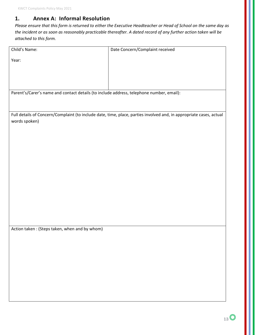## <span id="page-12-0"></span>**1. Annex A: Informal Resolution**

*Please ensure that this form is returned to either the Executive Headteacher or Head of School on the same day as the incident or as soon as reasonably practicable thereafter. A dated record of any further action taken will be attached to this form.*

| Child's Name:                                                                            | Date Concern/Complaint received                                                                                     |
|------------------------------------------------------------------------------------------|---------------------------------------------------------------------------------------------------------------------|
| Year:                                                                                    |                                                                                                                     |
|                                                                                          |                                                                                                                     |
|                                                                                          |                                                                                                                     |
|                                                                                          |                                                                                                                     |
| Parent's/Carer's name and contact details (to include address, telephone number, email): |                                                                                                                     |
|                                                                                          |                                                                                                                     |
|                                                                                          |                                                                                                                     |
|                                                                                          | Full details of Concern/Complaint (to include date, time, place, parties involved and, in appropriate cases, actual |
| words spoken)                                                                            |                                                                                                                     |
|                                                                                          |                                                                                                                     |
|                                                                                          |                                                                                                                     |
|                                                                                          |                                                                                                                     |
|                                                                                          |                                                                                                                     |
|                                                                                          |                                                                                                                     |
|                                                                                          |                                                                                                                     |
|                                                                                          |                                                                                                                     |
|                                                                                          |                                                                                                                     |
|                                                                                          |                                                                                                                     |
|                                                                                          |                                                                                                                     |
|                                                                                          |                                                                                                                     |
|                                                                                          |                                                                                                                     |
| Action taken: (Steps taken, when and by whom)                                            |                                                                                                                     |
|                                                                                          |                                                                                                                     |
|                                                                                          |                                                                                                                     |
|                                                                                          |                                                                                                                     |
|                                                                                          |                                                                                                                     |
|                                                                                          |                                                                                                                     |
|                                                                                          |                                                                                                                     |
|                                                                                          |                                                                                                                     |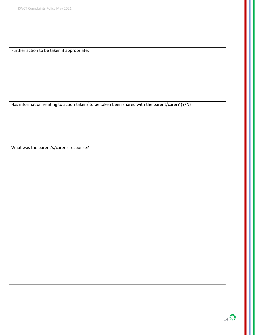Further action to be taken if appropriate:

Has information relating to action taken/ to be taken been shared with the parent/carer? (Y/N)

What was the parent's/carer's response?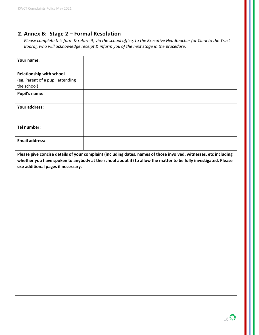## <span id="page-14-0"></span>**2. Annex B: Stage 2 – Formal Resolution**

*Please complete this form & return it, via the school office, to the Executive Headteacher (or Clerk to the Trust Board), who will acknowledge receipt & inform you of the next stage in the procedure.* 

| Your name:                       |  |
|----------------------------------|--|
|                                  |  |
| <b>Relationship with school</b>  |  |
| (eg. Parent of a pupil attending |  |
| the school)                      |  |
| <b>Pupil's name:</b>             |  |
|                                  |  |
| Your address:                    |  |
|                                  |  |
|                                  |  |
| Tel number:                      |  |
|                                  |  |
| <b>Email address:</b>            |  |
|                                  |  |
|                                  |  |

**Please give concise details of your complaint (including dates, names of those involved, witnesses, etc including whether you have spoken to anybody at the school about it) to allow the matter to be fully investigated. Please use additional pages if necessary.**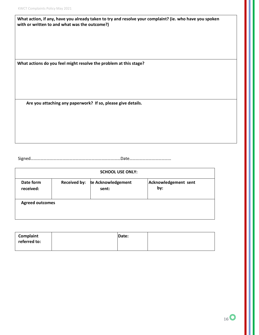| What action, if any, have you already taken to try and resolve your complaint? (ie. who have you spoken |
|---------------------------------------------------------------------------------------------------------|
| with or written to and what was the outcome?)                                                           |

**What actions do you feel might resolve the problem at this stage?** 

**Are you attaching any paperwork? If so, please give details.**

Signed…………………………………………………………………………Date…………………………………

| <b>SCHOOL USE ONLY:</b> |                     |                             |                             |
|-------------------------|---------------------|-----------------------------|-----------------------------|
| Date form<br>received:  | <b>Received by:</b> | te Acknowledgement<br>sent: | Acknowledgement sent<br>by: |
| <b>Agreed outcomes</b>  |                     |                             |                             |

| Complaint    | Date: |  |
|--------------|-------|--|
| referred to: |       |  |